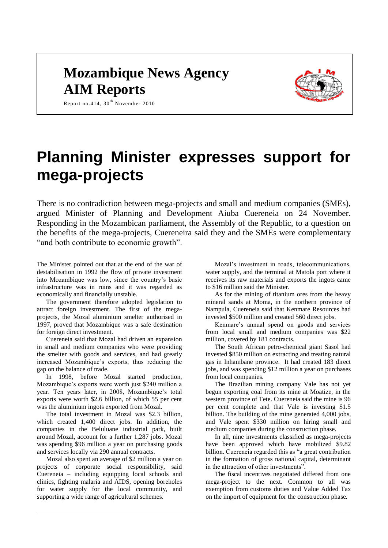# **Mozambique News Agency AIM Reports**



Report no.414,  $30<sup>th</sup>$  November 2010

# **Planning Minister expresses support for mega-projects**

There is no contradiction between mega-projects and small and medium companies (SMEs), argued Minister of Planning and Development Aiuba Cuereneia on 24 November. Responding in the Mozambican parliament, the Assembly of the Republic, to a question on the benefits of the mega-projects, Cuereneira said they and the SMEs were complementary "and both contribute to economic growth".

The Minister pointed out that at the end of the war of destabilisation in 1992 the flow of private investment into Mozambique was low, since the country's basic infrastructure was in ruins and it was regarded as economically and financially unstable.

The government therefore adopted legislation to attract foreign investment. The first of the megaprojects, the Mozal aluminium smelter authorised in 1997, proved that Mozambique was a safe destination for foreign direct investment.

Cuereneia said that Mozal had driven an expansion in small and medium companies who were providing the smelter with goods and services, and had greatly increased Mozambique's exports, thus reducing the gap on the balance of trade.

In 1998, before Mozal started production, Mozambique's exports were worth just \$240 million a year. Ten years later, in 2008, Mozambique's total exports were worth \$2.6 billion, of which 55 per cent was the aluminium ingots exported from Mozal.

The total investment in Mozal was \$2.3 billion, which created 1,400 direct jobs. In addition, the companies in the Beluluane industrial park, built around Mozal, account for a further 1,287 jobs. Mozal was spending \$96 million a year on purchasing goods and services locally via 290 annual contracts.

Mozal also spent an average of \$2 million a year on projects of corporate social responsibility, said Cuereneia – including equipping local schools and clinics, fighting malaria and AIDS, opening boreholes for water supply for the local community, and supporting a wide range of agricultural schemes.

Mozal's investment in roads, telecommunications, water supply, and the terminal at Matola port where it receives its raw materials and exports the ingots came to \$16 million said the Minister.

As for the mining of titanium ores from the heavy mineral sands at Moma, in the northern province of Nampula, Cuereneia said that Kenmare Resources had invested \$500 million and created 560 direct jobs.

Kenmare's annual spend on goods and services from local small and medium companies was \$22 million, covered by 181 contracts.

The South African petro-chemical giant Sasol had invested \$850 million on extracting and treating natural gas in Inhambane province. It had created 183 direct jobs, and was spending \$12 million a year on purchases from local companies.

The Brazilian mining company Vale has not yet begun exporting coal from its mine at Moatize, in the western province of Tete. Cuereneia said the mine is 96 per cent complete and that Vale is investing \$1.5 billion. The building of the mine generated 4,000 jobs, and Vale spent \$330 million on hiring small and medium companies during the construction phase.

In all, nine investments classified as mega-projects have been approved which have mobilized \$9.82 billion. Cuereneia regarded this as "a great contribution in the formation of gross national capital, determinant in the attraction of other investments".

The fiscal incentives negotiated differed from one mega-project to the next. Common to all was exemption from customs duties and Value Added Tax on the import of equipment for the construction phase.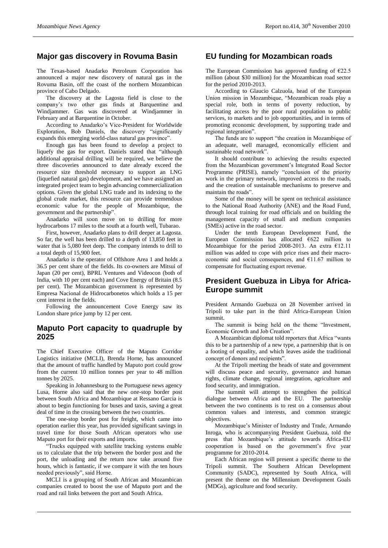# **Major gas discovery in Rovuma Basin**

The Texas-based Anadarko Petroleum Corporation has announced a major new discovery of natural gas in the Rovuma Basin, off the coast of the northern Mozambican province of Cabo Delgado.

The discovery at the Lagosta field is close to the company's two other gas finds at Barquentine and Windjammer. Gas was discovered at Windjammer in February and at Barquentine in October.

According to Anadarko's Vice-President for Worldwide Exploration, Bob Daniels, the discovery "significantly expands this emerging world-class natural gas province".

Enough gas has been found to develop a project to liquefy the gas for export. Daniels stated that "although additional appraisal drilling will be required, we believe the three discoveries announced to date already exceed the resource size threshold necessary to support an LNG (liquefied natural gas) development, and we have assigned an integrated project team to begin advancing commercialization options. Given the global LNG trade and its indexing to the global crude market, this resource can provide tremendous economic value for the people of Mozambique, the government and the partnership".

Anadarko will soon move on to drilling for more hydrocarbons 17 miles to the south at a fourth well, Tubarao.

First, however, Anadarko plans to drill deeper at Lagosta. So far, the well has been drilled to a depth of 13,850 feet in water that is 5,080 feet deep. The company intends to drill to a total depth of 15,900 feet.

Anadarko is the operator of Offshore Area 1 and holds a 36.5 per cent share of the fields. Its co-owners are Mitsui of Japan (20 per cent), BPRL Ventures and Videocon (both of India, with 10 per cent each) and Cove Energy of Britain (8.5 per cent). The Mozambican government is represented by Empresa Nacional de Hidrocarbonetos which holds a 15 per cent interest in the fields.

Following the announcement Cove Energy saw its London share price jump by 12 per cent.

#### **Maputo Port capacity to quadruple by 2025**

The Chief Executive Officer of the Maputo Corridor Logistics initiative (MCLI), Brenda Horne, has announced that the amount of traffic handled by Maputo port could grow from the current 10 million tonnes per year to 48 million tonnes by 2025.

Speaking in Johannesburg to the Portuguese news agency Lusa, Horne also said that the new one-stop border post between South Africa and Mozambique at Ressano Garcia is about to begin functioning for buses and taxis, saving a great deal of time in the crossing between the two countries.

The one-stop border post for freight, which came into operation earlier this year, has provided significant savings in travel time for those South African operators who use Maputo port for their exports and imports.

"Trucks equipped with satellite tracking systems enable us to calculate that the trip between the border post and the port, the unloading and the return now take around five hours, which is fantastic, if we compare it with the ten hours needed previously", said Horne.

MCLI is a grouping of South African and Mozambican companies created to boost the use of Maputo port and the road and rail links between the port and South Africa.

### **EU funding for Mozambican roads**

The European Commission has approved funding of  $E22.5$ million (about \$30 million) for the Mozambican road sector for the period 2010-2013.

According to Glaucio Calzuola, head of the European Union mission in Mozambique, "Mozambican roads play a special role, both in terms of poverty reduction, by facilitating access by the poor rural population to public services, to markets and to job opportunities, and in terms of promoting economic development, by supporting trade and regional integration".

The funds are to support "the creation in Mozambique of an adequate, well managed, economically efficient and sustainable road network".

It should contribute to achieving the results expected from the Mozambican government's Integrated Road Sector Programme (PRISE), namely "conclusion of the priority work in the primary network, improved access to the roads, and the creation of sustainable mechanisms to preserve and maintain the roads".

Some of the money will be spent on technical assistance to the National Road Authority (ANE) and the Road Fund, through local training for road officials and on building the management capacity of small and medium companies (SMEs) active in the road sector.

Under the tenth European Development Fund, the European Commission has allocated  $6622$  million to Mozambique for the period 2008-2013. An extra  $£12.11$ million was added to cope with price rises and their macroeconomic and social consequences, and  $£11.67$  million to compensate for fluctuating export revenue.

# **President Guebuza in Libya for Africa-Europe summit**

President Armando Guebuza on 28 November arrived in Tripoli to take part in the third Africa-European Union summit.

The summit is being held on the theme "Investment, Economic Growth and Job Creation".

A Mozambican diplomat told reporters that Africa "wants this to be a partnership of a new type, a partnership that is on a footing of equality, and which leaves aside the traditional concept of donors and recipients".

At the Tripoli meeting the heads of state and government will discuss peace and security, governance and human rights, climate change, regional integration, agriculture and food security, and immigration.

The summit will attempt to strengthen the political dialogue between Africa and the EU. The partnership between the two continents is to rest on a consensus about common values and interests, and common strategic objectives.

Mozambique's Minister of Industry and Trade, Armando Inroga, who is accompanying President Guebuza, told the press that Mozambique's attitude towards Africa-EU cooperation is based on the government's five year programme for 2010-2014.

Each African region will present a specific theme to the Tripoli summit. The Southern African Development Community (SADC), represented by South Africa, will present the theme on the Millennium Development Goals (MDGs), agriculture and food security.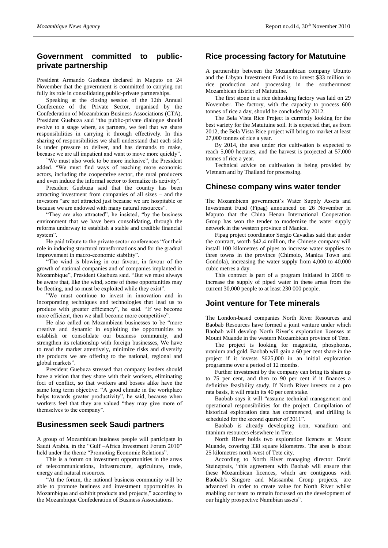# **Government committed to publicprivate partnership**

President Armando Guebuza declared in Maputo on 24 November that the government is committed to carrying out fully its role in consolidating public-private partnerships.

Speaking at the closing session of the 12th Annual Conference of the Private Sector, organised by the Confederation of Mozambican Business Associations (CTA), President Guebuza said "the public-private dialogue should evolve to a stage where, as partners, we feel that we share responsibilities in carrying it through effectively. In this sharing of responsibilities we shall understand that each side is under pressure to deliver, and has demands to make, because we are all impatient and want to move more quickly".

"We must also work to be more inclusive", the President added. "We must find ways of reaching more economic actors, including the cooperative sector, the rural producers and even induce the informal sector to formalize its activity".

President Guebuza said that the country has been attracting investment from companies of all sizes – and the investors "are not attracted just because we are hospitable or because we are endowed with many natural resources".

"They are also attracted", he insisted, "by the business environment that we have been consolidating, through the reforms underway to establish a stable and credible financial system".

He paid tribute to the private sector conferences "for their role in inducing structural transformations and for the gradual improvement in macro-economic stability".

"The wind is blowing in our favour, in favour of the growth of national companies and of companies implanted in Mozambique", President Guebuza said. "But we must always be aware that, like the wind, some of these opportunities may be fleeting, and so must be exploited while they exist".

"We must continue to invest in innovation and in incorporating techniques and technologies that lead us to produce with greater efficiency", he said. "If we become more efficient, then we shall become more competitive".

He also called on Mozambican businesses to be "more creative and dynamic in exploiting the opportunities to establish or consolidate our business community, and strengthen its relationship with foreign businesses, We have to read the market attentively, minimize risks and diversify the products we are offering to the national, regional and global markets".

President Guebuza stressed that company leaders should have a vision that they share with their workers, eliminating foci of conflict, so that workers and bosses alike have the same long term objective. "A good climate in the workplace helps towards greater productivity", he said, because when workers feel that they are valued "they may give more of themselves to the company".

#### **Businessmen seek Saudi partners**

A group of Mozambican business people will participate in Saudi Arabia, in the "Gulf –Africa Investment Forum 2010" held under the theme "Promoting Economic Relations".

This is a forum on investment opportunities in the areas of telecommunications, infrastructure, agriculture, trade, energy and natural resources.

"At the forum, the national business community will be able to promote business and investment opportunities in Mozambique and exhibit products and projects," according to the Mozambique Confederation of Business Associations.

#### **Rice processing factory for Matutuine**

A partnership between the Mozambican company Ubunto and the Libyan Investment Fund is to invest \$33 million in rice production and processing in the southernmost Mozambican district of Matutuine.

The first stone in a rice dehusking factory was laid on 29 November. The factory, with the capacity to process 600 tonnes of rice a day, should be concluded by 2012.

The Bela Vista Rice Project is currently looking for the best variety for the Matutuine soil. It is expected that, as from 2012, the Bela Vista Rice project will bring to market at least 27,000 tonnes of rice a year.

By 2014, the area under rice cultivation is expected to reach 5,000 hectares, and the harvest is projected at 57,000 tonnes of rice a year.

Technical advice on cultivation is being provided by Vietnam and by Thailand for processing.

#### **Chinese company wins water tender**

The Mozambican government's Water Supply Assets and Investment Fund (Fipag) announced on 26 November in Maputo that the China Henan International Cooperation Group has won the tender to modernize the water supply network in the western province of Manica.

Fipag project coordinator Sergio Cavadias said that under the contract, worth \$42.4 million, the Chinese company will install 100 kilometres of pipes to increase water supplies to three towns in the province (Chimoio, Manica Town and Gondola), increasing the water supply from 4,000 to 40,000 cubic metres a day.

This contract is part of a program initiated in 2008 to increase the supply of piped water in these areas from the current 30,000 people to at least 230 000 people.

#### **Joint venture for Tete minerals**

The London-based companies North River Resources and Baobab Resources have formed a joint venture under which Baobab will develop North River's exploration licenses at Mount Muande in the western Mozambican province of Tete.

The project is looking for magnetite, phosphorus, uranium and gold. Baobab will gain a 60 per cent share in the project if it invests \$625,000 in an initial exploration programme over a period of 12 months.

Further investment by the company can bring its share up to 75 per cent, and then to 90 per cent if it finances a definitive feasibility study. If North River invests on a pro rata basis, it will retain its 40 per cent stake.

Baobab says it will "assume technical management and operational responsibilities for the project. Compilation of historical exploration data has commenced, and drilling is scheduled for the second quarter of 2011".

Baobab is already developing iron, vanadium and titanium resources elsewhere in Tete.

North River holds two exploration licences at Mount Muande, covering 338 square kilometres. The area is about 25 kilometres north-west of Tete city.

According to North River managing director David Steinepreis, "this agreement with Baobab will ensure that these Mozambican licences, which are contiguous with Baobab's Singore and Massamba Group projects, are advanced in order to create value for North River whilst enabling our team to remain focussed on the development of our highly prospective Namibian assets".